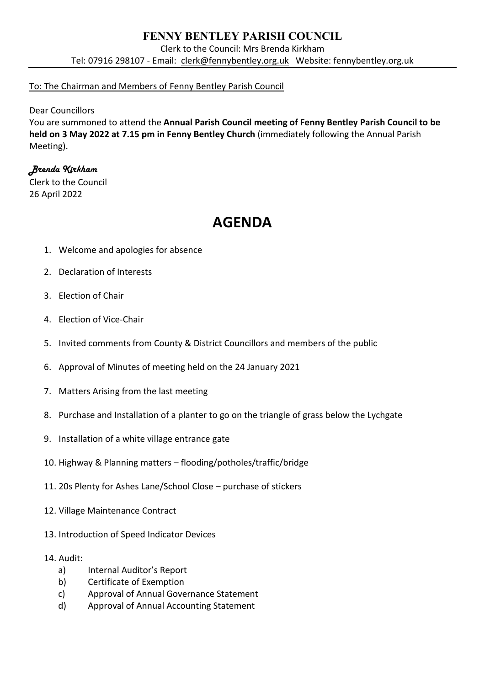## **FENNY BENTLEY PARISH COUNCIL**

Clerk to the Council: Mrs Brenda Kirkham Tel: 07916 298107 - Email: [clerk@fennybentley.org.uk](mailto:clerk@fennybentley.org.uk) Website: fennybentley.org.uk

## To: The Chairman and Members of Fenny Bentley Parish Council

Dear Councillors

You are summoned to attend the **Annual Parish Council meeting of Fenny Bentley Parish Council to be held on 3 May 2022 at 7.15 pm in Fenny Bentley Church** (immediately following the Annual Parish Meeting).

## *Brenda Kirkham*

Clerk to the Council 26 April 2022

## **AGENDA**

- 1. Welcome and apologies for absence
- 2. Declaration of Interests
- 3. Election of Chair
- 4. Election of Vice-Chair
- 5. Invited comments from County & District Councillors and members of the public
- 6. Approval of Minutes of meeting held on the 24 January 2021
- 7. Matters Arising from the last meeting
- 8. Purchase and Installation of a planter to go on the triangle of grass below the Lychgate
- 9. Installation of a white village entrance gate
- 10. Highway & Planning matters flooding/potholes/traffic/bridge
- 11. 20s Plenty for Ashes Lane/School Close purchase of stickers
- 12. Village Maintenance Contract
- 13. Introduction of Speed Indicator Devices
- 14. Audit:
	- a) Internal Auditor's Report
	- b) Certificate of Exemption
	- c) Approval of Annual Governance Statement
	- d) Approval of Annual Accounting Statement